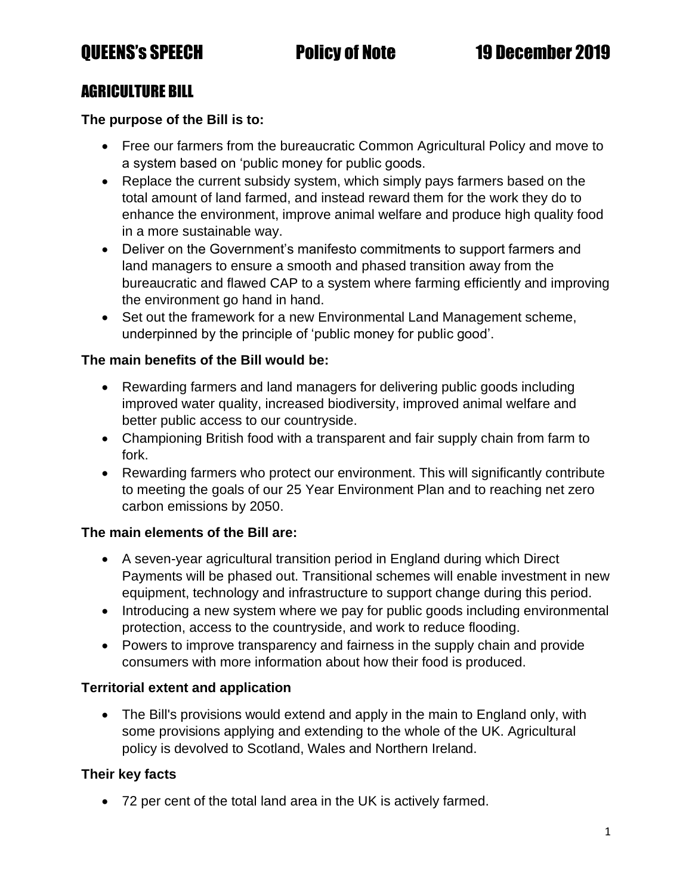# AGRICULTURE BILL

### **The purpose of the Bill is to:**

- Free our farmers from the bureaucratic Common Agricultural Policy and move to a system based on 'public money for public goods.
- Replace the current subsidy system, which simply pays farmers based on the total amount of land farmed, and instead reward them for the work they do to enhance the environment, improve animal welfare and produce high quality food in a more sustainable way.
- Deliver on the Government's manifesto commitments to support farmers and land managers to ensure a smooth and phased transition away from the bureaucratic and flawed CAP to a system where farming efficiently and improving the environment go hand in hand.
- Set out the framework for a new Environmental Land Management scheme, underpinned by the principle of 'public money for public good'.

### **The main benefits of the Bill would be:**

- Rewarding farmers and land managers for delivering public goods including improved water quality, increased biodiversity, improved animal welfare and better public access to our countryside.
- Championing British food with a transparent and fair supply chain from farm to fork.
- Rewarding farmers who protect our environment. This will significantly contribute to meeting the goals of our 25 Year Environment Plan and to reaching net zero carbon emissions by 2050.

### **The main elements of the Bill are:**

- A seven-year agricultural transition period in England during which Direct Payments will be phased out. Transitional schemes will enable investment in new equipment, technology and infrastructure to support change during this period.
- Introducing a new system where we pay for public goods including environmental protection, access to the countryside, and work to reduce flooding.
- Powers to improve transparency and fairness in the supply chain and provide consumers with more information about how their food is produced.

# **Territorial extent and application**

• The Bill's provisions would extend and apply in the main to England only, with some provisions applying and extending to the whole of the UK. Agricultural policy is devolved to Scotland, Wales and Northern Ireland.

# **Their key facts**

• 72 per cent of the total land area in the UK is actively farmed.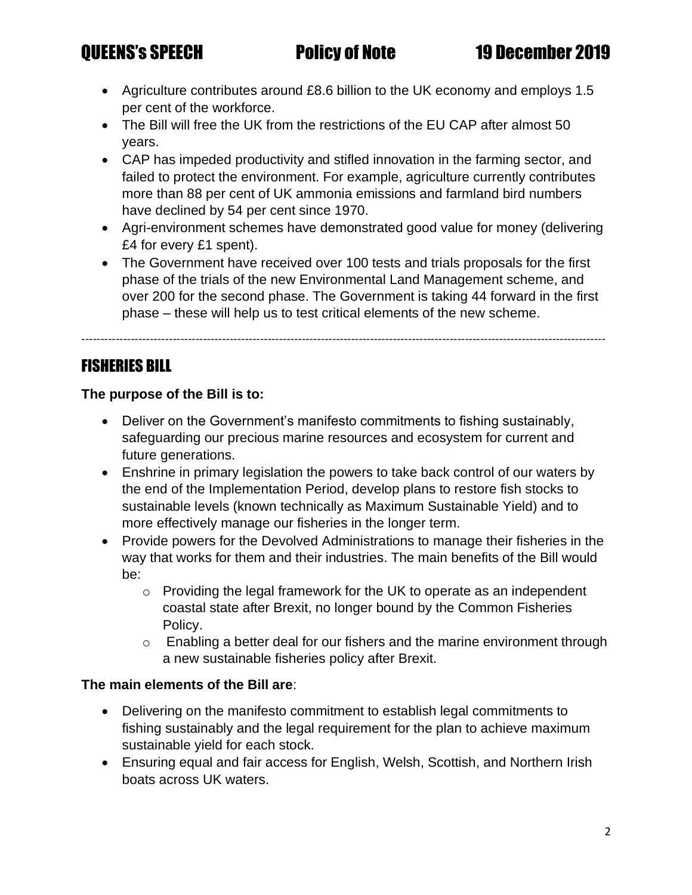- Agriculture contributes around £8.6 billion to the UK economy and employs 1.5 per cent of the workforce.
- The Bill will free the UK from the restrictions of the EU CAP after almost 50 years.
- CAP has impeded productivity and stifled innovation in the farming sector, and failed to protect the environment. For example, agriculture currently contributes more than 88 per cent of UK ammonia emissions and farmland bird numbers have declined by 54 per cent since 1970.
- Agri-environment schemes have demonstrated good value for money (delivering £4 for every £1 spent).
- The Government have received over 100 tests and trials proposals for the first phase of the trials of the new Environmental Land Management scheme, and over 200 for the second phase. The Government is taking 44 forward in the first phase – these will help us to test critical elements of the new scheme.

------------------------------------------------------------------------------------------------------------------------------------------

# FISHERIES BILL

**The purpose of the Bill is to:** 

- Deliver on the Government's manifesto commitments to fishing sustainably, safeguarding our precious marine resources and ecosystem for current and future generations.
- Enshrine in primary legislation the powers to take back control of our waters by the end of the Implementation Period, develop plans to restore fish stocks to sustainable levels (known technically as Maximum Sustainable Yield) and to more effectively manage our fisheries in the longer term.
- Provide powers for the Devolved Administrations to manage their fisheries in the way that works for them and their industries. The main benefits of the Bill would be:
	- o Providing the legal framework for the UK to operate as an independent coastal state after Brexit, no longer bound by the Common Fisheries Policy.
	- o Enabling a better deal for our fishers and the marine environment through a new sustainable fisheries policy after Brexit.

### **The main elements of the Bill are**:

- Delivering on the manifesto commitment to establish legal commitments to fishing sustainably and the legal requirement for the plan to achieve maximum sustainable yield for each stock.
- Ensuring equal and fair access for English, Welsh, Scottish, and Northern Irish boats across UK waters.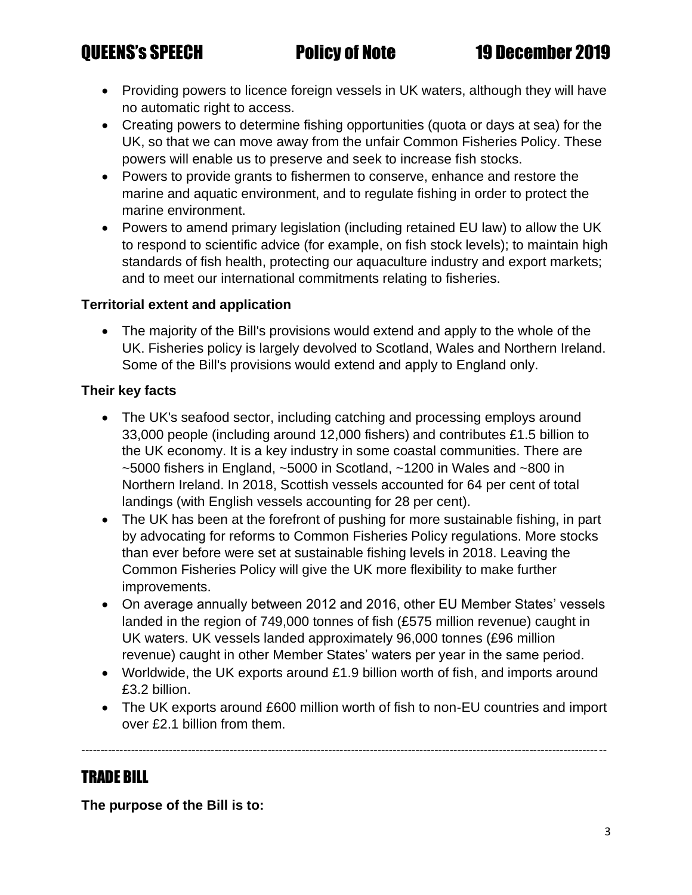- Providing powers to licence foreign vessels in UK waters, although they will have no automatic right to access.
- Creating powers to determine fishing opportunities (quota or days at sea) for the UK, so that we can move away from the unfair Common Fisheries Policy. These powers will enable us to preserve and seek to increase fish stocks.
- Powers to provide grants to fishermen to conserve, enhance and restore the marine and aquatic environment, and to regulate fishing in order to protect the marine environment.
- Powers to amend primary legislation (including retained EU law) to allow the UK to respond to scientific advice (for example, on fish stock levels); to maintain high standards of fish health, protecting our aquaculture industry and export markets; and to meet our international commitments relating to fisheries.

### **Territorial extent and application**

• The majority of the Bill's provisions would extend and apply to the whole of the UK. Fisheries policy is largely devolved to Scotland, Wales and Northern Ireland. Some of the Bill's provisions would extend and apply to England only.

## **Their key facts**

- The UK's seafood sector, including catching and processing employs around 33,000 people (including around 12,000 fishers) and contributes £1.5 billion to the UK economy. It is a key industry in some coastal communities. There are  $\sim$ 5000 fishers in England,  $\sim$ 5000 in Scotland,  $\sim$ 1200 in Wales and  $\sim$ 800 in Northern Ireland. In 2018, Scottish vessels accounted for 64 per cent of total landings (with English vessels accounting for 28 per cent).
- The UK has been at the forefront of pushing for more sustainable fishing, in part by advocating for reforms to Common Fisheries Policy regulations. More stocks than ever before were set at sustainable fishing levels in 2018. Leaving the Common Fisheries Policy will give the UK more flexibility to make further improvements.
- On average annually between 2012 and 2016, other EU Member States' vessels landed in the region of 749,000 tonnes of fish (£575 million revenue) caught in UK waters. UK vessels landed approximately 96,000 tonnes (£96 million revenue) caught in other Member States' waters per year in the same period.
- Worldwide, the UK exports around £1.9 billion worth of fish, and imports around £3.2 billion.
- The UK exports around £600 million worth of fish to non-EU countries and import over £2.1 billion from them.

------------------------------------------------------------------------------------------------------------------------------------------

# TRADE BILL

**The purpose of the Bill is to:**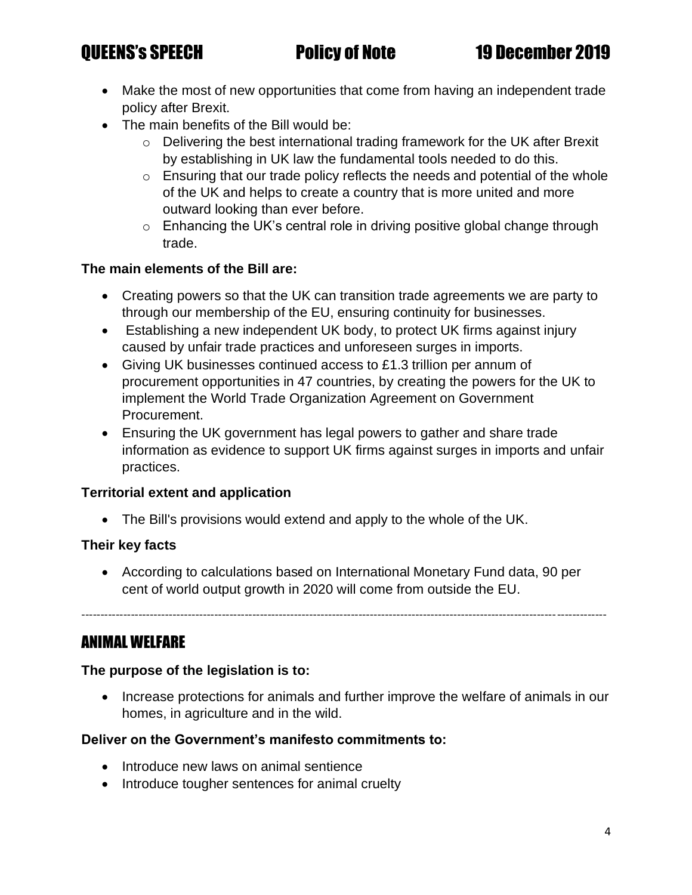- Make the most of new opportunities that come from having an independent trade policy after Brexit.
- The main benefits of the Bill would be:
	- $\circ$  Delivering the best international trading framework for the UK after Brexit by establishing in UK law the fundamental tools needed to do this.
	- o Ensuring that our trade policy reflects the needs and potential of the whole of the UK and helps to create a country that is more united and more outward looking than ever before.
	- $\circ$  Enhancing the UK's central role in driving positive global change through trade.

## **The main elements of the Bill are:**

- Creating powers so that the UK can transition trade agreements we are party to through our membership of the EU, ensuring continuity for businesses.
- Establishing a new independent UK body, to protect UK firms against injury caused by unfair trade practices and unforeseen surges in imports.
- Giving UK businesses continued access to £1.3 trillion per annum of procurement opportunities in 47 countries, by creating the powers for the UK to implement the World Trade Organization Agreement on Government Procurement.
- Ensuring the UK government has legal powers to gather and share trade information as evidence to support UK firms against surges in imports and unfair practices.

### **Territorial extent and application**

• The Bill's provisions would extend and apply to the whole of the UK.

# **Their key facts**

• According to calculations based on International Monetary Fund data, 90 per cent of world output growth in 2020 will come from outside the EU.

------------------------------------------------------------------------------------------------------------------------------------------

# ANIMAL WELFARE

### **The purpose of the legislation is to:**

• Increase protections for animals and further improve the welfare of animals in our homes, in agriculture and in the wild.

# **Deliver on the Government's manifesto commitments to:**

- Introduce new laws on animal sentience
- Introduce tougher sentences for animal cruelty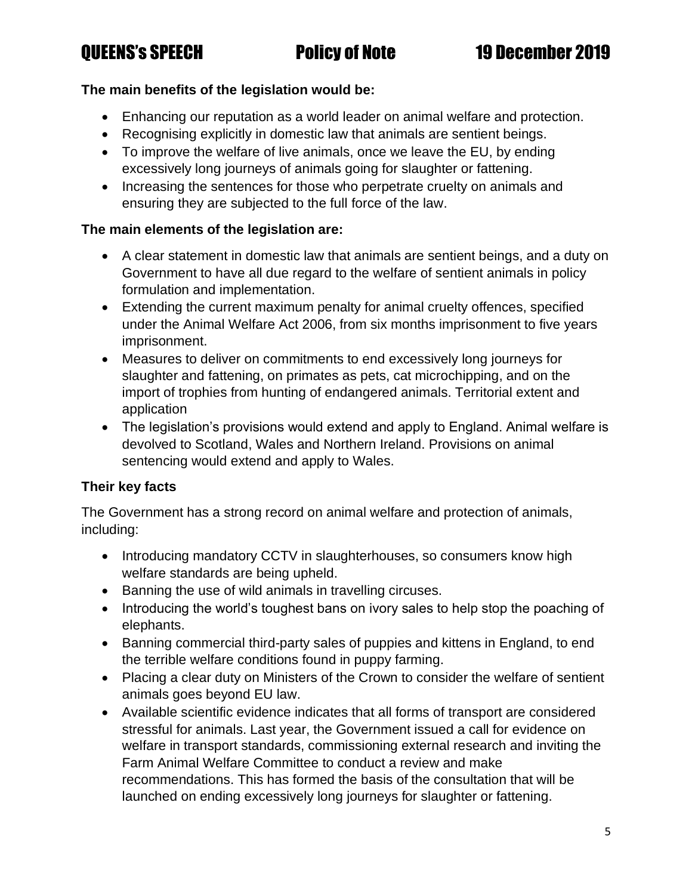# QUEENS's SPEECH Policy of Note 19 December 2019

### **The main benefits of the legislation would be:**

- Enhancing our reputation as a world leader on animal welfare and protection.
- Recognising explicitly in domestic law that animals are sentient beings.
- To improve the welfare of live animals, once we leave the EU, by ending excessively long journeys of animals going for slaughter or fattening.
- Increasing the sentences for those who perpetrate cruelty on animals and ensuring they are subjected to the full force of the law.

### **The main elements of the legislation are:**

- A clear statement in domestic law that animals are sentient beings, and a duty on Government to have all due regard to the welfare of sentient animals in policy formulation and implementation.
- Extending the current maximum penalty for animal cruelty offences, specified under the Animal Welfare Act 2006, from six months imprisonment to five years imprisonment.
- Measures to deliver on commitments to end excessively long journeys for slaughter and fattening, on primates as pets, cat microchipping, and on the import of trophies from hunting of endangered animals. Territorial extent and application
- The legislation's provisions would extend and apply to England. Animal welfare is devolved to Scotland, Wales and Northern Ireland. Provisions on animal sentencing would extend and apply to Wales.

# **Their key facts**

The Government has a strong record on animal welfare and protection of animals, including:

- Introducing mandatory CCTV in slaughterhouses, so consumers know high welfare standards are being upheld.
- Banning the use of wild animals in travelling circuses.
- Introducing the world's toughest bans on ivory sales to help stop the poaching of elephants.
- Banning commercial third-party sales of puppies and kittens in England, to end the terrible welfare conditions found in puppy farming.
- Placing a clear duty on Ministers of the Crown to consider the welfare of sentient animals goes beyond EU law.
- Available scientific evidence indicates that all forms of transport are considered stressful for animals. Last year, the Government issued a call for evidence on welfare in transport standards, commissioning external research and inviting the Farm Animal Welfare Committee to conduct a review and make recommendations. This has formed the basis of the consultation that will be launched on ending excessively long journeys for slaughter or fattening.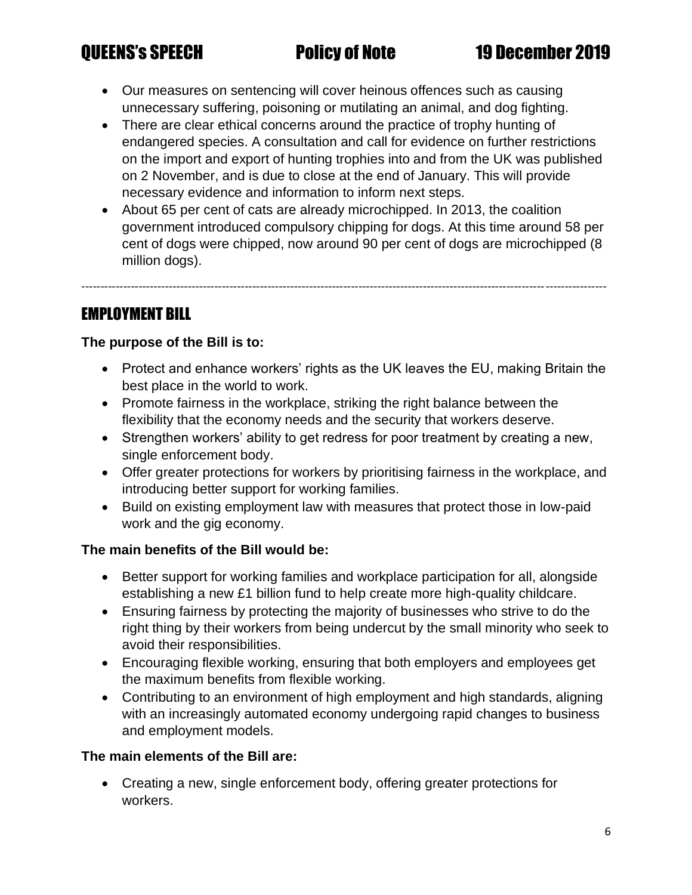- Our measures on sentencing will cover heinous offences such as causing unnecessary suffering, poisoning or mutilating an animal, and dog fighting.
- There are clear ethical concerns around the practice of trophy hunting of endangered species. A consultation and call for evidence on further restrictions on the import and export of hunting trophies into and from the UK was published on 2 November, and is due to close at the end of January. This will provide necessary evidence and information to inform next steps.
- About 65 per cent of cats are already microchipped. In 2013, the coalition government introduced compulsory chipping for dogs. At this time around 58 per cent of dogs were chipped, now around 90 per cent of dogs are microchipped (8 million dogs).

------------------------------------------------------------------------------------------------------------------------------------------

# EMPLOYMENT BILL

# **The purpose of the Bill is to:**

- Protect and enhance workers' rights as the UK leaves the EU, making Britain the best place in the world to work.
- Promote fairness in the workplace, striking the right balance between the flexibility that the economy needs and the security that workers deserve.
- Strengthen workers' ability to get redress for poor treatment by creating a new, single enforcement body.
- Offer greater protections for workers by prioritising fairness in the workplace, and introducing better support for working families.
- Build on existing employment law with measures that protect those in low-paid work and the gig economy.

# **The main benefits of the Bill would be:**

- Better support for working families and workplace participation for all, alongside establishing a new £1 billion fund to help create more high-quality childcare.
- Ensuring fairness by protecting the majority of businesses who strive to do the right thing by their workers from being undercut by the small minority who seek to avoid their responsibilities.
- Encouraging flexible working, ensuring that both employers and employees get the maximum benefits from flexible working.
- Contributing to an environment of high employment and high standards, aligning with an increasingly automated economy undergoing rapid changes to business and employment models.

# **The main elements of the Bill are:**

• Creating a new, single enforcement body, offering greater protections for workers.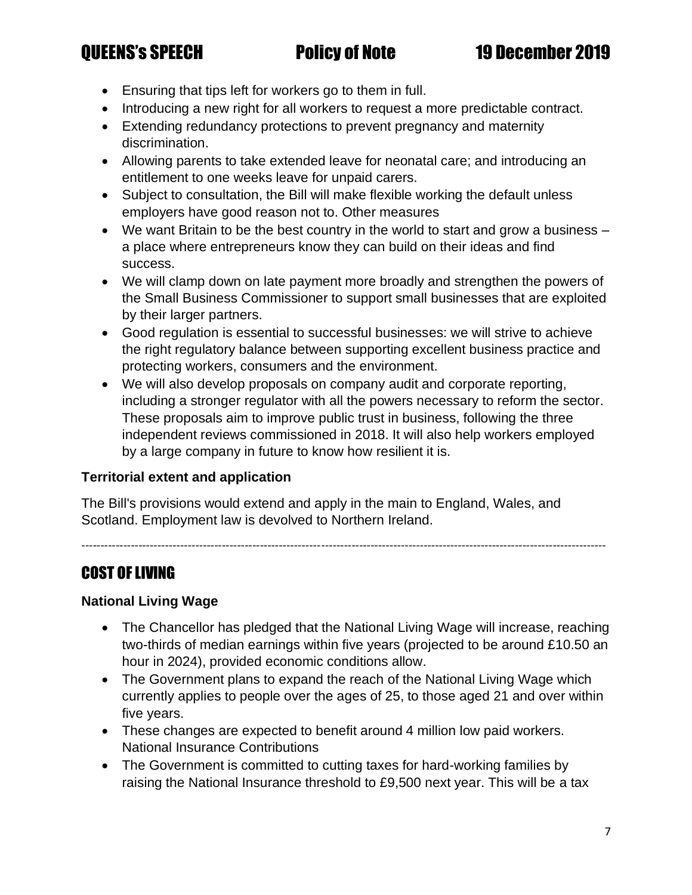- Ensuring that tips left for workers go to them in full.
- Introducing a new right for all workers to request a more predictable contract.
- Extending redundancy protections to prevent pregnancy and maternity discrimination.
- Allowing parents to take extended leave for neonatal care; and introducing an entitlement to one weeks leave for unpaid carers.
- Subject to consultation, the Bill will make flexible working the default unless employers have good reason not to. Other measures
- We want Britain to be the best country in the world to start and grow a business a place where entrepreneurs know they can build on their ideas and find success.
- We will clamp down on late payment more broadly and strengthen the powers of the Small Business Commissioner to support small businesses that are exploited by their larger partners.
- Good regulation is essential to successful businesses: we will strive to achieve the right regulatory balance between supporting excellent business practice and protecting workers, consumers and the environment.
- We will also develop proposals on company audit and corporate reporting, including a stronger regulator with all the powers necessary to reform the sector. These proposals aim to improve public trust in business, following the three independent reviews commissioned in 2018. It will also help workers employed by a large company in future to know how resilient it is.

# **Territorial extent and application**

The Bill's provisions would extend and apply in the main to England, Wales, and Scotland. Employment law is devolved to Northern Ireland.

------------------------------------------------------------------------------------------------------------------------------------------

# COST OF LIVING

# **National Living Wage**

- The Chancellor has pledged that the National Living Wage will increase, reaching two-thirds of median earnings within five years (projected to be around £10.50 an hour in 2024), provided economic conditions allow.
- The Government plans to expand the reach of the National Living Wage which currently applies to people over the ages of 25, to those aged 21 and over within five years.
- These changes are expected to benefit around 4 million low paid workers. National Insurance Contributions
- The Government is committed to cutting taxes for hard-working families by raising the National Insurance threshold to £9,500 next year. This will be a tax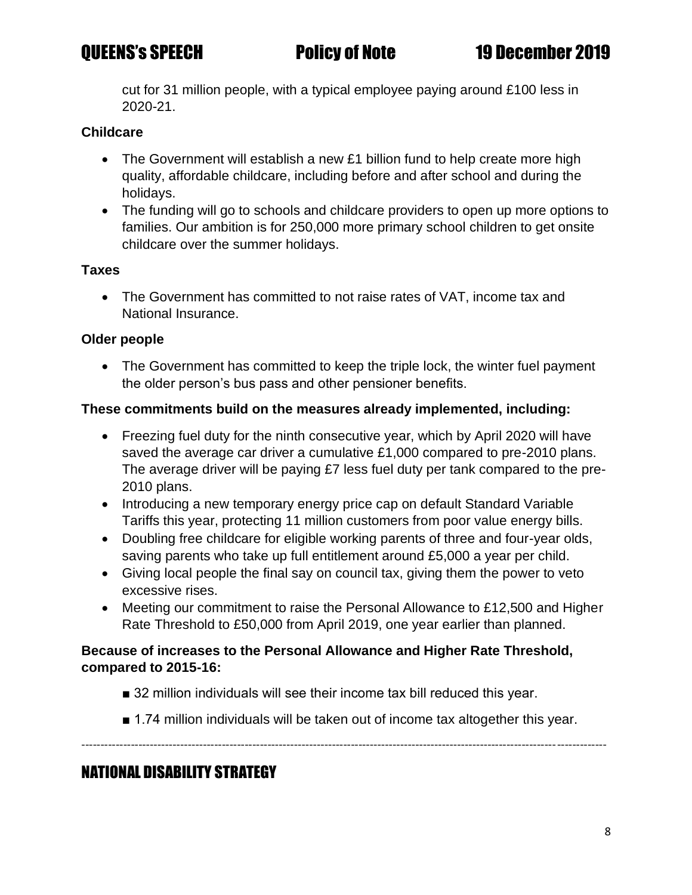cut for 31 million people, with a typical employee paying around £100 less in 2020-21.

## **Childcare**

- The Government will establish a new £1 billion fund to help create more high quality, affordable childcare, including before and after school and during the holidays.
- The funding will go to schools and childcare providers to open up more options to families. Our ambition is for 250,000 more primary school children to get onsite childcare over the summer holidays.

### **Taxes**

• The Government has committed to not raise rates of VAT, income tax and National Insurance.

## **Older people**

• The Government has committed to keep the triple lock, the winter fuel payment the older person's bus pass and other pensioner benefits.

## **These commitments build on the measures already implemented, including:**

- Freezing fuel duty for the ninth consecutive year, which by April 2020 will have saved the average car driver a cumulative £1,000 compared to pre-2010 plans. The average driver will be paying £7 less fuel duty per tank compared to the pre-2010 plans.
- Introducing a new temporary energy price cap on default Standard Variable Tariffs this year, protecting 11 million customers from poor value energy bills.
- Doubling free childcare for eligible working parents of three and four-year olds, saving parents who take up full entitlement around £5,000 a year per child.
- Giving local people the final say on council tax, giving them the power to veto excessive rises.
- Meeting our commitment to raise the Personal Allowance to £12,500 and Higher Rate Threshold to £50,000 from April 2019, one year earlier than planned.

## **Because of increases to the Personal Allowance and Higher Rate Threshold, compared to 2015-16:**

- 32 million individuals will see their income tax bill reduced this year.
- 1.74 million individuals will be taken out of income tax altogether this year.

------------------------------------------------------------------------------------------------------------------------------------------

# NATIONAL DISABILITY STRATEGY